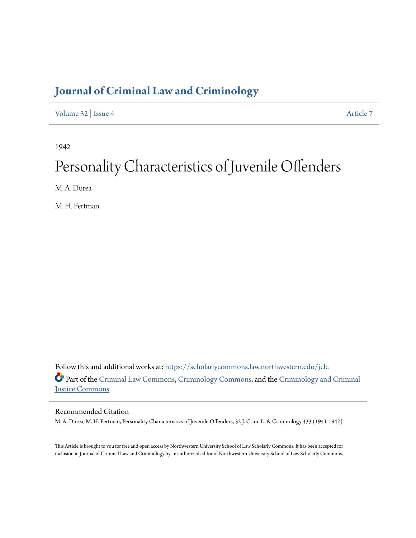# **[Journal of Criminal Law and Criminology](https://scholarlycommons.law.northwestern.edu/jclc?utm_source=scholarlycommons.law.northwestern.edu%2Fjclc%2Fvol32%2Fiss4%2F7&utm_medium=PDF&utm_campaign=PDFCoverPages)**

[Volume 32](https://scholarlycommons.law.northwestern.edu/jclc/vol32?utm_source=scholarlycommons.law.northwestern.edu%2Fjclc%2Fvol32%2Fiss4%2F7&utm_medium=PDF&utm_campaign=PDFCoverPages) | [Issue 4](https://scholarlycommons.law.northwestern.edu/jclc/vol32/iss4?utm_source=scholarlycommons.law.northwestern.edu%2Fjclc%2Fvol32%2Fiss4%2F7&utm_medium=PDF&utm_campaign=PDFCoverPages) [Article 7](https://scholarlycommons.law.northwestern.edu/jclc/vol32/iss4/7?utm_source=scholarlycommons.law.northwestern.edu%2Fjclc%2Fvol32%2Fiss4%2F7&utm_medium=PDF&utm_campaign=PDFCoverPages)

1942

# Personality Characteristics of Juvenile Offenders

M. A. Durea

M. H. Fertman

Follow this and additional works at: [https://scholarlycommons.law.northwestern.edu/jclc](https://scholarlycommons.law.northwestern.edu/jclc?utm_source=scholarlycommons.law.northwestern.edu%2Fjclc%2Fvol32%2Fiss4%2F7&utm_medium=PDF&utm_campaign=PDFCoverPages) Part of the [Criminal Law Commons](http://network.bepress.com/hgg/discipline/912?utm_source=scholarlycommons.law.northwestern.edu%2Fjclc%2Fvol32%2Fiss4%2F7&utm_medium=PDF&utm_campaign=PDFCoverPages), [Criminology Commons](http://network.bepress.com/hgg/discipline/417?utm_source=scholarlycommons.law.northwestern.edu%2Fjclc%2Fvol32%2Fiss4%2F7&utm_medium=PDF&utm_campaign=PDFCoverPages), and the [Criminology and Criminal](http://network.bepress.com/hgg/discipline/367?utm_source=scholarlycommons.law.northwestern.edu%2Fjclc%2Fvol32%2Fiss4%2F7&utm_medium=PDF&utm_campaign=PDFCoverPages) [Justice Commons](http://network.bepress.com/hgg/discipline/367?utm_source=scholarlycommons.law.northwestern.edu%2Fjclc%2Fvol32%2Fiss4%2F7&utm_medium=PDF&utm_campaign=PDFCoverPages)

# Recommended Citation

M. A. Durea, M. H. Fertman, Personality Characteristics of Juvenile Offenders, 32 J. Crim. L. & Criminology 433 (1941-1942)

This Article is brought to you for free and open access by Northwestern University School of Law Scholarly Commons. It has been accepted for inclusion in Journal of Criminal Law and Criminology by an authorized editor of Northwestern University School of Law Scholarly Commons.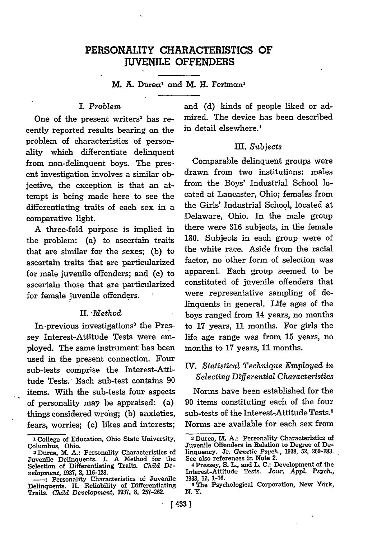# PERSONALITY CHARACTERISTICS OF **JUVENILE OFFENDERS**

M. **A.** Dureal and M. H. **Fertman**

#### I. *Problem*

One of the present writers<sup>2</sup> has recently reported results bearing on the problem of characteristics of personality which differentiate delinquent from non-delinquent boys. The present investigation involves a similar objective, the exception is that an attempt is being made here to see the differentiating traits of each sex in a comparative light.

A three-fold puripose is implied in the problem: (a) to ascertain traits that are similar for the sexes; (b) to ascertain traits that are particularized for male juvenile offenders; and (c) to ascertain those that are particularized for female juvenile offenders.

#### II. *Method*

In previous investigations<sup>3</sup> the Pressey Interest-Attitude Tests were employed. The same instrument has been used in the present connection. Four sub-tests comprise the Interest-Attitude Tests. Each sub-test contains 90 items. With the sub-tests four aspects of personality may be appraised: (a) things considered wrong; (b) anxieties, fears, worries; (c) likes and interests;

and (d) kinds of people liked or admired. The device has been described in detail elsewhere.'

#### III. *Subjects*

Comparable delinquent groups were drawn from two institutions: males from the Boys' Industrial School located at Lancaster, Ohio; females from the Girls' Industrial School, located at Delaware, Ohio. In the male group there were 316 subjects, in the female 180. Subjects in each group were of the white race. Aside from the racial factor, no other form of selection was apparent. Each group seemed to be constituted of juvenile offenders that were representative sampling of delinquents in general. Life ages of the boys ranged from 14 years, no months to 17 years, 11 months. For girls the life age range was from 15 years, no months to 17 years, 11 months.

### IV. *Statistical Technique Employed in Selecting Differential Characteristics*

Norms have been established for the 90 items constituting each of the four sub-tests of the Interest-Attitude Tests.<sup>5</sup> Norms are available for each sex from

**I** College of Education, Ohio State University, Columbus, Ohio.

<sup>&</sup>lt;sup>2</sup> Durea, M. A.: Personality Characteristics of Juvenile Delinquents. I. A Method for the Selection of Differentiating Traits. Child De*velopment,* **1937,** 8, **116-128.**

**\_:** Personality Characteristics of Juvenile Delinquents. **II.** Reliability of Differentiating Traits. *Child Development,* **1937,** 8, **257-262.**

**<sup>3</sup>** Durea, M. **A.:** Personality Characteristics of Juvenile Offenders in Relation to Degree of Delinquency. Jr. Genetic Psych., **1938,** 52, **269-283.** See also references in Note 2.

**<sup>4</sup>** Pressey, S. L., and L. **C.:** Development of the Interest-Attitude Tests. **Jour.** *Appl. Psych.,* **1933, 17, 1-16.**

**<sup>5</sup>** The Psychological Corporation, New Ydrk, **N.Y.**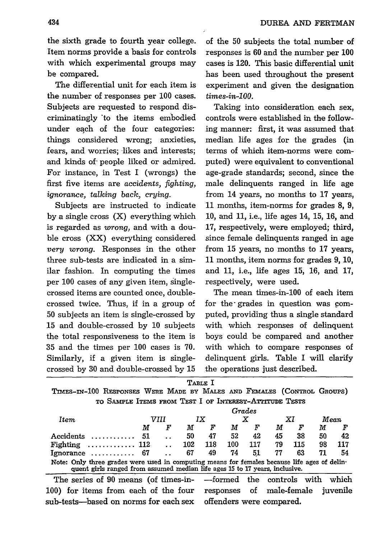the sixth grade to fourth year college. Item norms provide a basis for controls with which experimental groups may be compared.

The differential unit for each item is the number of responses per 100 cases. Subjects are requested to respond discriminatingly 'to the items embodied under each of the four categories: things considered wrong; anxieties, fears, and worries; likes and interests; and kinds of people liked or admired. For instance, in Test I (wrongs) the first five items are *accidents, fighting, ignorance, talking back, crying.*

Subjects are instructed to indicate by a single cross (X) everything which is regarded as *wrong,* and with a double cross (XX) everything considered *very wrong.* Responses in the other three sub-tests are indicated in a similar fashion. In computing the times per 100 cases of any given item, singlecrossed items are counted once, doublecrossed twice. Thus, if in a group of 50 subjects an item is single-crossed by 15 and double-crossed by **10** subjects the total responsiveness to the item is 35 and the times per 100 cases is 70. Similarly, if a given item is singlecrossed by 30 and double-crossed by **15**

of the 50 subjects the total number of responses is 60 and the number per **100** cases is 120. This basic differential unit has been used throughout the present experiment and given the designation *times-in-00.*

Taking into consideration each sex, controls were established in the following manner: first, it was assumed that median life ages for the grades (in terms of which item-norms were computed) were equivalent to conventional age-grade standards; second, since the male delinquents ranged in life age from 14 years, no months to **17** years, 11 months, item-norms for grades 8, 9, **10,** and 11, i.e., life ages 14, 15, 16, and 17, respectively, were employed; third, since female delinquents ranged in age from **15** years, no months to 17 years, 11 months, item norms for grades 9, 10, and 11, i.e., life ages 15, 16, and 17, respectively, were used.

The mean times-in-100 of each item for the grades in question was computed, providing thus a single standard with which responses of delinquent boys could be compared and another with which to compare responses of delinquent girls. Table I will clarify the operations just described.

TABLE I

TnEs-n-100 RESPONSES WERE MADE BY MALES **AND** FEMALES (CONTROL GRoups) TO SAMPLE ITEMS FROM TEST I OF INTEREST-ATTITUDE TESTS

|                                                                                                                                                                             | Grades |   |     |     |     |     |    |     |      |                                   |  |
|-----------------------------------------------------------------------------------------------------------------------------------------------------------------------------|--------|---|-----|-----|-----|-----|----|-----|------|-----------------------------------|--|
| Item                                                                                                                                                                        | VIII   |   | IX  |     | x   |     | ΧI |     | Mean |                                   |  |
|                                                                                                                                                                             | М      | F | М   | F   | М   | F   | М  | F   | М    | F                                 |  |
| Accidents                                                                                                                                                                   | 51     |   | 50  | 47  | 52  | 42  | 45 | 38  | 50   | 42                                |  |
| Fighting $\dots\dots\dots\dots$ 112                                                                                                                                         |        |   | 102 | 118 | 100 | 117 | 79 | 115 | 98   | 117                               |  |
| Ignorance $\dots\dots\dots\dots$ 67                                                                                                                                         |        |   | 67  | 49  | 74  | 51  | 77 | 63  | 71   | 54                                |  |
| Note: Only three grades were used in computing means for females because life ages of delin-<br>quent girls ranged from assumed median life ages 15 to 17 years, inclusive. |        |   |     |     |     |     |    |     |      |                                   |  |
| The series of 90 means (of times-in- ---formed the controls with                                                                                                            |        |   |     |     |     |     |    |     |      | which                             |  |
| 100) for items from each of the four                                                                                                                                        |        |   |     |     |     |     |    |     |      | responses of male-female juvenile |  |
| sub-tests—based on norms for each sex<br>offenders were compared.                                                                                                           |        |   |     |     |     |     |    |     |      |                                   |  |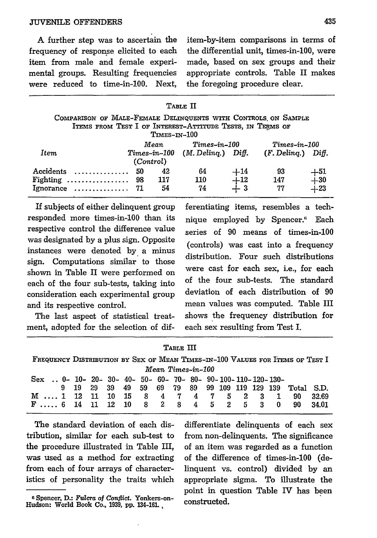**A** further step was to ascertain the frequency of response elicited to each item from male and female experimental groups. Resulting frequencies were reduced to time-in-100. Next, item-by-item comparisons in terms **of** the differential unit, times-in-100, were made, based on sex groups and their appropriate controls. Table II makes the foregoing procedure clear.

|                                                               |           |                                 | TABLE II       |                                               |                      |                                                |  |  |  |  |  |
|---------------------------------------------------------------|-----------|---------------------------------|----------------|-----------------------------------------------|----------------------|------------------------------------------------|--|--|--|--|--|
| COMPARISON OF MALE-FEMALE DELINQUENTS WITH CONTROLS ON SAMPLE |           |                                 |                |                                               |                      |                                                |  |  |  |  |  |
| ITEMS FROM TEST I OF INTEREST-ATTITUDE TESTS, IN TERMS OF     |           |                                 |                |                                               |                      |                                                |  |  |  |  |  |
|                                                               |           | TIMES-IN-100                    |                |                                               |                      |                                                |  |  |  |  |  |
|                                                               |           | Mean                            | $Times-in-100$ |                                               |                      |                                                |  |  |  |  |  |
| Item                                                          |           | Times-in-100 (M. Delinq.) Diff. |                |                                               | $(F.$ Deling.) Diff. |                                                |  |  |  |  |  |
|                                                               | (Control) |                                 |                |                                               |                      |                                                |  |  |  |  |  |
| Accidents                                                     | 50        | 42                              | 64             |                                               | 93                   |                                                |  |  |  |  |  |
| Fighting $\ldots \ldots \ldots \ldots$                        | 98        | 117                             | 110            | $\begin{array}{c} +14 \ +12 \ +3 \end{array}$ | 147                  | $\begin{array}{c} +51 \ +30 \ +23 \end{array}$ |  |  |  |  |  |
| Ignorance $\dots\dots\dots\dots$ 71                           |           | 54                              | 74             |                                               | 77                   |                                                |  |  |  |  |  |

responded more times-in-100 than its nique employed by Spencer.<sup>6</sup> Each respective control the difference value series of  $90$  means of times-in-100 was designated by a plus sign. Opposite (controls) was cast into a frequency instances were denoted by a minus sign. Computations similar to those distribution. Four such distributions shown in Table II were performed on were cast for each sex, i.e., for each each of the four sub-tests, taking into of the four sub-tests. The standard<br>consideration cash experimental group deviation of each distribution of 90 consideration each experimental group and its respective control, mean values was computed. Table III

ment, adopted for the selection of dif- each sex resulting from Test I.

If subjects of either delinquent group ferentiating items, resembles a tech-The last aspect of statistical treat- shows the frequency distribution for

| ы<br>г.<br>., |  |
|---------------|--|
|---------------|--|

| FREQUENCY DISTRIBUTION BY SEX OF MEAN TIMES-IN-100 VALUES FOR ITEMS OF TEST I |  |  |  |  |  |  |  |  |  |  |  |  |  |                                                         |       |
|-------------------------------------------------------------------------------|--|--|--|--|--|--|--|--|--|--|--|--|--|---------------------------------------------------------|-------|
| Mean Times-in-100                                                             |  |  |  |  |  |  |  |  |  |  |  |  |  |                                                         |       |
| Sex  0- 10- 20- 30- 40- 50- 60- 70- 80- 90- 100- 110- 120- 130-               |  |  |  |  |  |  |  |  |  |  |  |  |  |                                                         |       |
|                                                                               |  |  |  |  |  |  |  |  |  |  |  |  |  | 9 19 29 39 49 59 69 79 89 99 109 119 129 139 Total S.D. |       |
| M  1 12 11 10 15 8 4 7 4 7 5 2 3 1                                            |  |  |  |  |  |  |  |  |  |  |  |  |  | 90                                                      | 32.69 |
| F 6 14 11 12 10 8 2 8 4 5 2 5 3 0 90 34.01                                    |  |  |  |  |  |  |  |  |  |  |  |  |  |                                                         |       |

The standard deviation of each distribution, similar for each sub-test to the procedure illustrated in Table III, was used as a method for extracting from each of four arrays of characteristics of personality the traits which

differentiate delinquents of each sex from non-delinquents. The significance of an item was regarded as a function of the difference of times-in-100 (delinquent vs. control) divided by an appropriate sigma. To illustrate the point in question Table IV has been constructed.

**<sup>6</sup>** Spencer, **D.:** *Fulcra of Conflict.* Yonkers-on-Hudson: World **Book Co., 1939, pp. 134-161.,**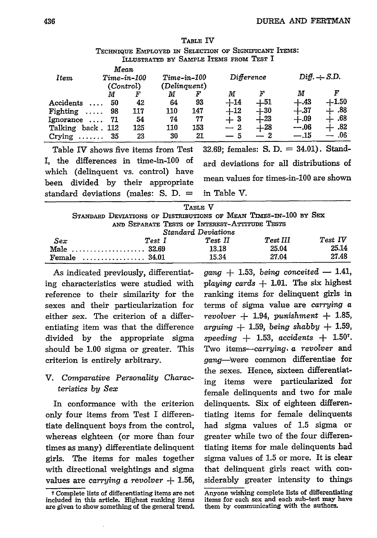| TECHNIQUE EMPLOYED IN SELECTION OF SIGNIFICANT ITEMS:<br>ILLUSTRATED BY SAMPLE ITEMS FROM TEST I |                     |               |                        |     |                                       |       |                   |         |  |  |
|--------------------------------------------------------------------------------------------------|---------------------|---------------|------------------------|-----|---------------------------------------|-------|-------------------|---------|--|--|
| Item                                                                                             | Mean                | $Time-in-100$ | $Time-in-100$          |     | Difference                            |       | $Diff. \div S.D.$ |         |  |  |
|                                                                                                  | (Control)<br>F<br>М |               | (Delinquent)<br>F<br>М |     | М                                     | F     | М                 | F       |  |  |
| Accidents                                                                                        | 50                  | 42            | 64                     | 93  | $+14$                                 | $+51$ | $+.43$            | $+1.50$ |  |  |
| Fighting                                                                                         | 98                  | 117           | 110                    | 147 | $+12$                                 | $+30$ | $+.37$            | .88     |  |  |
| $I$ gnorance $\ldots$                                                                            | 71                  | 54            | 74                     | 77  | $+3$                                  | $+23$ | $+.09$            | .68     |  |  |
| Talking back. 112                                                                                |                     | 125           | 110                    | 153 | $-2$                                  | $+28$ | $-.06$            | .82     |  |  |
| Crying $\ldots \ldots 35$                                                                        |                     | 23            | 30                     | 21  |                                       |       | $-.15$            | .06     |  |  |
| $m_{\rm e}$ 1.1. TV, it cannot be a finally $m_{\rm e}$ of $m_{\rm e}$                           |                     |               |                        |     | $99.60.$ formalized $\alpha$ $\Gamma$ |       | <b>24 01)</b>     | $C+and$ |  |  |

TABLE IV

which (delinquent vs. control) have standard deviations (males: S. D. **=** in Table V.

Table IV shows five items from Test  $-32.69$ ; females: S. D.  $=34.01$ ). Stand-I, the differences in time-in-100 of ard deviations for all distributions of been divided by their appropriate mean values for times-in-100 are shown

|     |                                                                  | TABLE V                                       |          |         |
|-----|------------------------------------------------------------------|-----------------------------------------------|----------|---------|
|     | STANDARD DEVIATIONS OF DISTRIBUTIONS OF MEAN TIMES-IN-100 BY SEX |                                               |          |         |
|     |                                                                  | AND SEPARATE TESTS OF INTEREST-ATTITUDE TESTS |          |         |
|     |                                                                  | Standard Deviations                           |          |         |
| Sex | Test I                                                           | Test II                                       | Test III | Test IV |

| Female      | $\sim$ 34.01 | 15.34   | ?7.04    | 27.48   |
|-------------|--------------|---------|----------|---------|
| Male  32.69 |              | 13.18   | 25.04    | 25.14   |
| Sex         | $Test\_I$    | Test II | Test III | Test IV |

As indicated previously, differentiating characteristics were studied with reference to their similarity for the sexes and their particularization for either sex. The criterion of a differentiating item was that the difference divided by the appropriate sigma should be 1.00 sigma or greater. This criterion is entirely arbitrary.

# V. *Comparative Personality Characteristics by Sex*

In conformance with the criterion only four items from Test I differentiate delinquent boys from the control, whereas eighteen (or more than four times as many) differentiate delinquent girls. The items for males together with directional weightings and sigma values are *carrying a revolver* **+ 1.56,** *gang* **+** 1.53, *being conceited* **-** 1.41, *playing cards* **+ 1.01.** The six highest ranking items for delinquent girls in terms of sigma value are *carrying a revolver* **+** 1.94, *punishment* **+ 1.85,** *arguing* **+** 1.59, *being shabby* **+ 1.59,** *speeding +* 1.53, *accidents +* 1.507. Two items-carrying, *a revolver* and gang-Were common differentiae for the sexes. Hence, sixteen differentiating items were particularized for female delinquents and two for male delinquents. Six of eighteen differentiating items for female delinquents had sigma values of **1.5** sigma or greater while two of the four differentiating items for male delinquents had sigma values of **1.5** or more. It is clear that delinquent girls react with considerably greater intensity to things

**<sup>7</sup>**Complete lists of differentiating items are not included in this article. Highest ranking items are given to show something of the general trend.

Anyone wishing complete lists of differentiating items for each sex and each sub-test may have them by communicating with the authors.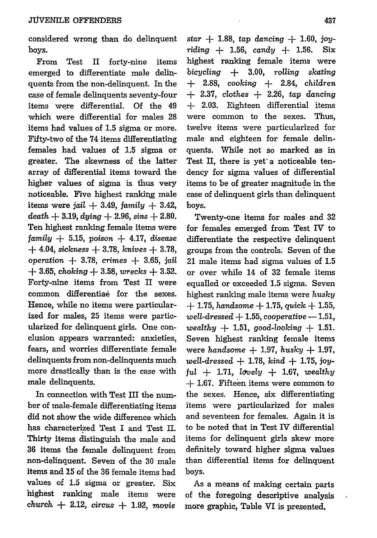considered wrong than do delinquent **boys.**

From Test II forty-nine items emerged to differentiate male delinquents from the non-delinquent. In the case of female delinquents seventy-four items were differential. Of the 49 which were differential for males **28** items had values of **1.5** sigma or more. Fifty-two of the 74 items differentiating females had values of **1.5** sigma or greater. The skewness of the latter array of differential items toward the higher values of sigma is thus very noticeable. Five highest ranking male items were jail **+** 3.49, *family* **+** 3.42,  $death + 3.19, \frac{dying}{dx} + 2.96, \frac{sins}{dx} + 2.80.$ Ten highest ranking female items were family **+ 5.15,** poison **+** 4.17, disease **+** 4.04, *sickness* **+ 3.78,** knives *+* **3.78,** *operation* **+ 3.78,** *crimes +* **3.65,** *jail* **+** 3.65, choking ± 3.58, *wrecks +* 3.52. Forty-nine items from Test II were common differentiae for the sexes. Hence, while no items were particularized for males, 25 items were particularized for delinquent girls. One conclusion appears warranted: anxieties, fears, and worries differentiate female delinquents from non-delinquents much more drastically than is the case with male delinquents.

In connection with Test **HI** the number of male-female differentiating items did not show the wide difference which has characterized Test I and Test **II.** Thirty items distinguish the male and **36** items the female delinquent from non-delinquent. Seven of the **30** male items and **15** of the **36** female items had values of **1.5** sigma or greater. Six highest ranking male items were *church -* 2.12, *circus +* **1.92,** *movie*

*star* **+ 1.88,** *tap* dancing *+* 1.60, joy*riding +* **1.56,** candy *+* **1.56.** Six highest ranking female items were *bicycling +* 3.00, *rolling skating +* 2.88, *cooking +* 2.84, *children +* 2.37, *clothes* **+** 2.26, *tap* dancing *+* 2.03. Eighteen differential items were common to the sexes. Thus, twelve items were particularized for male and eighteen for female delinquents. While not so marked as in Test II, there is yet'a noticeable tendency for sigma values of differential items to be of greater magnitude in the case of delinquent girls than delinquent boys.

Twenty-one items for males and 32 for females emerged from Test IV to differentiate the respective delinquent groups from the controls. Seven of the 21 male items had sigma values of 1.5 or over while 14 of 32 female items equalled or exceeded 1.5 sigma. Seven highest ranking male items were *husky* **+** 1.75, *handsome* **+ 1.75,** *quick +* **1.55,**  $well$ *-dressed*  $+1.55$ *, cooperative*  $-1.51$ *, wealthy +* **1.51,** *good-looking +* **1.51.** Seven highest ranking female items were *handsome +* 1.97, *husky +* 1.97, *well-dressed +* **1.78,** kind *+* 1.75, joy*ful +* **1.71,** *lovely +* **1.67,** *wealthy +* 1.67. Fifteen items were common to the sexes. Hence, six differentiating items were particularized for males and seventeen for females. Again it is to be noted that in Test IV differential items for delinquent girls skew more definitely toward higher sigma values than differential items for delinquent boys.

As a means of making certain parts of the foregoing descriptive analysis more graphic, Table VI is presented.